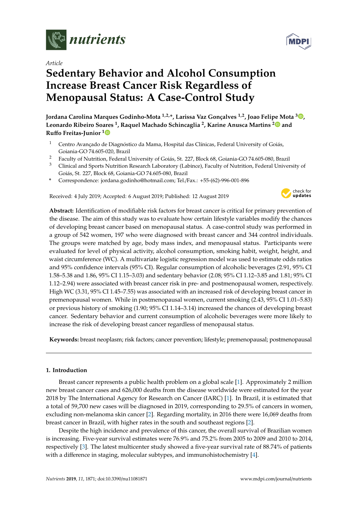

*Article*

# **Sedentary Behavior and Alcohol Consumption Increase Breast Cancer Risk Regardless of Menopausal Status: A Case-Control Study**

**Jordana Carolina Marques Godinho-Mota 1,2,\*, Larissa Vaz Gonçalves 1,2, Joao Felipe Mota <sup>3</sup> [,](https://orcid.org/0000-0001-6123-7616) Leonardo Ribeiro Soares <sup>1</sup> , Raquel Machado Schincaglia <sup>2</sup> , Karine Anusca Martins [2](https://orcid.org/0000-0003-4992-4522) and Ru**ff**o Freitas-Junior [1](https://orcid.org/0000-0003-4145-8598)**

- <sup>1</sup> Centro Avançado de Diagnóstico da Mama, Hospital das Clínicas, Federal University of Goiás, Goiania-GO 74.605-020, Brazil
- <sup>2</sup> Faculty of Nutrition, Federal University of Goiás, St. 227, Block 68, Goiania-GO 74.605-080, Brazil
- <sup>3</sup> Clinical and Sports Nutrition Research Laboratory (Labince), Faculty of Nutrition, Federal University of Goiás, St. 227, Block 68, Goiania-GO 74.605-080, Brazil
- **\*** Correspondence: jordana.godinho@hotmail.com; Tel./Fax.: +55-(62)-996-001-896

Received: 4 July 2019; Accepted: 6 August 2019; Published: 12 August 2019



**Abstract:** Identification of modifiable risk factors for breast cancer is critical for primary prevention of the disease. The aim of this study was to evaluate how certain lifestyle variables modify the chances of developing breast cancer based on menopausal status. A case-control study was performed in a group of 542 women, 197 who were diagnosed with breast cancer and 344 control individuals. The groups were matched by age, body mass index, and menopausal status. Participants were evaluated for level of physical activity, alcohol consumption, smoking habit, weight, height, and waist circumference (WC). A multivariate logistic regression model was used to estimate odds ratios and 95% confidence intervals (95% CI). Regular consumption of alcoholic beverages (2.91, 95% CI 1.58–5.38 and 1.86, 95% CI 1.15–3.03) and sedentary behavior (2.08; 95% CI 1.12–3.85 and 1.81; 95% CI 1.12–2.94) were associated with breast cancer risk in pre- and postmenopausal women, respectively. High WC (3.31, 95% CI 1.45–7.55) was associated with an increased risk of developing breast cancer in premenopausal women. While in postmenopausal women, current smoking (2.43, 95% CI 1.01–5.83) or previous history of smoking (1.90; 95% CI 1.14–3.14) increased the chances of developing breast cancer. Sedentary behavior and current consumption of alcoholic beverages were more likely to increase the risk of developing breast cancer regardless of menopausal status.

**Keywords:** breast neoplasm; risk factors; cancer prevention; lifestyle; premenopausal; postmenopausal

## **1. Introduction**

Breast cancer represents a public health problem on a global scale [\[1\]](#page-6-0). Approximately 2 million new breast cancer cases and 626,000 deaths from the disease worldwide were estimated for the year 2018 by The International Agency for Research on Cancer (IARC) [\[1\]](#page-6-0). In Brazil, it is estimated that a total of 59,700 new cases will be diagnosed in 2019, corresponding to 29.5% of cancers in women, excluding non-melanoma skin cancer [\[2\]](#page-6-1). Regarding mortality, in 2016 there were 16,069 deaths from breast cancer in Brazil, with higher rates in the south and southeast regions [\[2\]](#page-6-1).

Despite the high incidence and prevalence of this cancer, the overall survival of Brazilian women is increasing. Five-year survival estimates were 76.9% and 75.2% from 2005 to 2009 and 2010 to 2014, respectively [\[3\]](#page-6-2). The latest multicenter study showed a five-year survival rate of 88.74% of patients with a difference in staging, molecular subtypes, and immunohistochemistry [\[4\]](#page-6-3).

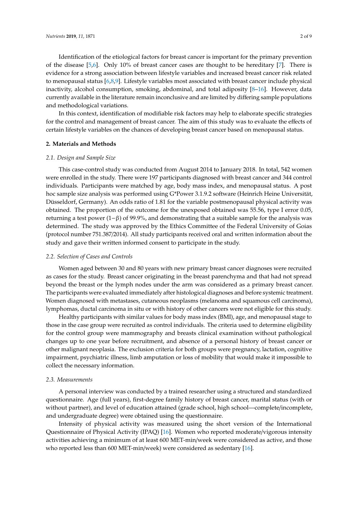Identification of the etiological factors for breast cancer is important for the primary prevention of the disease [\[5,](#page-6-4)[6\]](#page-6-5). Only 10% of breast cancer cases are thought to be hereditary [\[7\]](#page-6-6). There is evidence for a strong association between lifestyle variables and increased breast cancer risk related to menopausal status [\[6](#page-6-5)[,8](#page-6-7)[,9\]](#page-6-8). Lifestyle variables most associated with breast cancer include physical inactivity, alcohol consumption, smoking, abdominal, and total adiposity [\[8](#page-6-7)[–16\]](#page-6-9). However, data currently available in the literature remain inconclusive and are limited by differing sample populations and methodological variations.

In this context, identification of modifiable risk factors may help to elaborate specific strategies for the control and management of breast cancer. The aim of this study was to evaluate the effects of certain lifestyle variables on the chances of developing breast cancer based on menopausal status.

#### **2. Materials and Methods**

#### *2.1. Design and Sample Size*

This case-control study was conducted from August 2014 to January 2018. In total, 542 women were enrolled in the study. There were 197 participants diagnosed with breast cancer and 344 control individuals. Participants were matched by age, body mass index, and menopausal status. A post hoc sample size analysis was performed using G\*Power 3.1.9.2 software (Heinrich Heine Universität, Düsseldorf, Germany). An odds ratio of 1.81 for the variable postmenopausal physical activity was obtained. The proportion of the outcome for the unexposed obtained was 55.56, type I error 0.05, returning a test power (1−β) of 99.9%, and demonstrating that a suitable sample for the analysis was determined. The study was approved by the Ethics Committee of the Federal University of Goias (protocol number 751.387/2014). All study participants received oral and written information about the study and gave their written informed consent to participate in the study.

# *2.2. Selection of Cases and Controls*

Women aged between 30 and 80 years with new primary breast cancer diagnoses were recruited as cases for the study. Breast cancer originating in the breast parenchyma and that had not spread beyond the breast or the lymph nodes under the arm was considered as a primary breast cancer. The participants were evaluated immediately after histological diagnoses and before systemic treatment. Women diagnosed with metastases, cutaneous neoplasms (melanoma and squamous cell carcinoma), lymphomas, ductal carcinoma in situ or with history of other cancers were not eligible for this study.

Healthy participants with similar values for body mass index (BMI), age, and menopausal stage to those in the case group were recruited as control individuals. The criteria used to determine eligibility for the control group were mammography and breasts clinical examination without pathological changes up to one year before recruitment, and absence of a personal history of breast cancer or other malignant neoplasia. The exclusion criteria for both groups were pregnancy, lactation, cognitive impairment, psychiatric illness, limb amputation or loss of mobility that would make it impossible to collect the necessary information.

#### *2.3. Measurements*

A personal interview was conducted by a trained researcher using a structured and standardized questionnaire. Age (full years), first-degree family history of breast cancer, marital status (with or without partner), and level of education attained (grade school, high school—complete/incomplete, and undergraduate degree) were obtained using the questionnaire.

Intensity of physical activity was measured using the short version of the International Questionnaire of Physical Activity (IPAQ) [\[16\]](#page-6-9). Women who reported moderate/vigorous intensity activities achieving a minimum of at least 600 MET-min/week were considered as active, and those who reported less than 600 MET-min/week) were considered as sedentary [\[16\]](#page-6-9).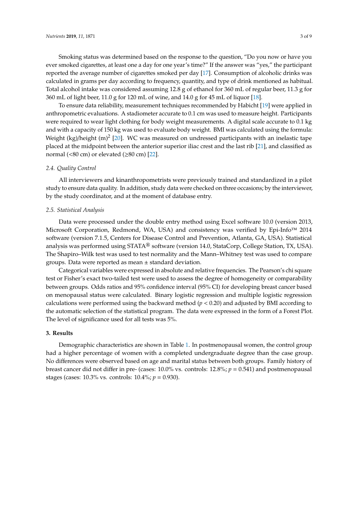Smoking status was determined based on the response to the question, "Do you now or have you ever smoked cigarettes, at least one a day for one year's time?" If the answer was "yes," the participant reported the average number of cigarettes smoked per day [\[17\]](#page-6-10). Consumption of alcoholic drinks was calculated in grams per day according to frequency, quantity, and type of drink mentioned as habitual. Total alcohol intake was considered assuming 12.8 g of ethanol for 360 mL of regular beer, 11.3 g for 360 mL of light beer, 11.0 g for 120 mL of wine, and 14.0 g for 45 mL of liquor [\[18\]](#page-7-0).

To ensure data reliability, measurement techniques recommended by Habicht [\[19\]](#page-7-1) were applied in anthropometric evaluations. A stadiometer accurate to 0.1 cm was used to measure height. Participants were required to wear light clothing for body weight measurements. A digital scale accurate to 0.1 kg and with a capacity of 150 kg was used to evaluate body weight. BMI was calculated using the formula: Weight (kg)/height (m)<sup>2</sup> [\[20\]](#page-7-2). WC was measured on undressed participants with an inelastic tape placed at the midpoint between the anterior superior iliac crest and the last rib [\[21\]](#page-7-3), and classified as normal (<80 cm) or elevated ( $\geq$ 80 cm) [\[22\]](#page-7-4).

### *2.4. Quality Control*

All interviewers and kinanthropometrists were previously trained and standardized in a pilot study to ensure data quality. In addition, study data were checked on three occasions; by the interviewer, by the study coordinator, and at the moment of database entry.

#### *2.5. Statistical Analysis*

Data were processed under the double entry method using Excel software 10.0 (version 2013, Microsoft Corporation, Redmond, WA, USA) and consistency was verified by Epi-Info™ 2014 software (version 7.1.5, Centers for Disease Control and Prevention, Atlanta, GA, USA). Statistical analysis was performed using STATA<sup>®</sup> software (version 14.0, StataCorp, College Station, TX, USA). The Shapiro–Wilk test was used to test normality and the Mann–Whitney test was used to compare groups. Data were reported as mean  $\pm$  standard deviation.

Categorical variables were expressed in absolute and relative frequencies. The Pearson's chi square test or Fisher's exact two-tailed test were used to assess the degree of homogeneity or comparability between groups. Odds ratios and 95% confidence interval (95% CI) for developing breast cancer based on menopausal status were calculated. Binary logistic regression and multiple logistic regression calculations were performed using the backward method  $(p < 0.20)$  and adjusted by BMI according to the automatic selection of the statistical program. The data were expressed in the form of a Forest Plot. The level of significance used for all tests was 5%.

## **3. Results**

Demographic characteristics are shown in Table [1.](#page-3-0) In postmenopausal women, the control group had a higher percentage of women with a completed undergraduate degree than the case group. No differences were observed based on age and marital status between both groups. Family history of breast cancer did not differ in pre- (cases: 10.0% vs. controls: 12.8%; *p* = 0.541) and postmenopausal stages (cases: 10.3% vs. controls: 10.4%; *p* = 0.930).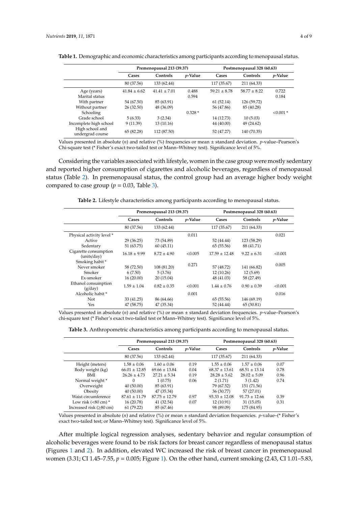|                                     | Premenopausal 213 (39.37) |                  |                 | Postmenopausal 328 (60.63) |                  |             |  |
|-------------------------------------|---------------------------|------------------|-----------------|----------------------------|------------------|-------------|--|
|                                     | Controls<br>Cases         |                  | <i>p</i> -Value | Cases                      | Controls         | $p$ -Value  |  |
|                                     | 80 (37.56)                | 133 (62.44)      |                 | 117 (35.67)                | 211 (64.33)      |             |  |
| Age (years)                         | $41.84 \pm 6.62$          | $41.41 \pm 7.01$ | 0.488           | $59.21 \pm 8.78$           | $58.77 \pm 8.22$ | 0.722       |  |
| Marital status                      |                           |                  | 0.594           |                            |                  | 0.184       |  |
| With partner                        | 54 (67.50)                | 85 (63.91)       |                 | 61(52.14)                  | 126 (59.72)      |             |  |
| Without partner                     | 26(32.50)                 | 48 (36.09)       |                 | 56 (47.86)                 | 85 (40.28)       |             |  |
| Schooling                           |                           |                  | $0.328*$        |                            |                  | $< 0.001$ * |  |
| Grade school                        | 5(6.33)                   | 3(2.34)          |                 | 14 (12.73)                 | 10(5.03)         |             |  |
| Incomplete high school              | 9(11.39)                  | 13(10.16)        |                 | 44 (40.00)                 | 49 (24.62)       |             |  |
| High school and<br>undergrad course | 65 (82.28)                | 112 (87.50)      |                 | 52 (47.27)                 | 140 (70.35)      |             |  |

<span id="page-3-0"></span>

|  |  |  | Table 1. Demographic and economic characteristics among participants according to menopausal status. |
|--|--|--|------------------------------------------------------------------------------------------------------|
|  |  |  |                                                                                                      |

Values presented in absolute (*n*) and relative (%) frequencies or mean ± standard deviation. *p*-value–Pearson's Chi-square test (\* Fisher's exact two-tailed test or Mann–Whitney test). Significance level of 5%.

Considering the variables associated with lifestyle, women in the case group were mostly sedentary and reported higher consumption of cigarettes and alcoholic beverages, regardless of menopausal status (Table [2\)](#page-3-1). In premenopausal status, the control group had an average higher body weight compared to case group ( $p = 0.03$ , Table [3\)](#page-3-2).

**Table 2.** Lifestyle characteristics among participants according to menopausal status.

<span id="page-3-1"></span>

|                                      |                  | Premenopausal 213 (39.37) |                 | Postmenopausal 328 (60.63) |                 |                 |  |
|--------------------------------------|------------------|---------------------------|-----------------|----------------------------|-----------------|-----------------|--|
|                                      | Cases            | Controls                  | <i>p</i> -Value | Cases                      | Controls        | <i>p</i> -Value |  |
|                                      | 80 (37.56)       | 133 (62.44)               |                 | 117 (35.67)                | 211 (64.33)     |                 |  |
| Physical activity level *            |                  |                           | 0.011           |                            |                 | 0.021           |  |
| Active                               | 29(36.25)        | 73 (54.89)                |                 | 52 (44.44)                 | 123 (58.29)     |                 |  |
| Sedentary                            | 51 (63.75)       | 60 (45.11)                |                 | 65 (55.56)                 | 88 (41.71)      |                 |  |
| Cigarette consumption<br>(units/day) | $16.18 \pm 9.99$ | $8.72 + 4.90$             | < 0.005         | $17.59 + 12.48$            | $9.22 + 6.31$   | < 0.001         |  |
| Smoking habit*                       |                  |                           | 0.271           |                            |                 | 0.005           |  |
| Never smoker                         | 58 (72.50)       | 108 (81.20)               |                 | 57 (48.72)                 | 141 (66.82)     |                 |  |
| Smoker                               | 6(7.50)          | 5(3.76)                   |                 | 12 (10.26)                 | 12(5.69)        |                 |  |
| Ex-smoker                            | 16(20.00)        | 20 (15.04)                |                 | 48 (41.03)                 | 58 (27.49)      |                 |  |
| Ethanol consumption<br>(g/day)       | $1.59 \pm 1.04$  | $0.82 \pm 0.35$           | < 0.001         | $1.44 + 0.76$              | $0.90 \pm 0.39$ | < 0.001         |  |
| Alcoholic habit *                    |                  |                           | 0.001           |                            |                 | 0.016           |  |
| Not                                  | 33 (41.25)       | 86 (64.66)                |                 | 65 (55.56)                 | 146 (69.19)     |                 |  |
| Yes                                  | 47 (58.75)       | 47 (35.34)                |                 | 52 (44.44)                 | 65 (30.81)      |                 |  |

<span id="page-3-2"></span>Values presented in absolute (*n*) and relative (%) or mean ± standard deviation frequencies. *p*-value–Pearson's chi-square test (\* Fisher's exact two-tailed test or Mann–Whitney test). Significance level of 5%.

|  |  | <b>Table 3.</b> Anthropometric characteristics among participants according to menopausal status. |  |  |  |  |
|--|--|---------------------------------------------------------------------------------------------------|--|--|--|--|
|  |  |                                                                                                   |  |  |  |  |

|                                       | Premenopausal 213 (39.37)<br>Controls<br><i>p</i> -Value<br>Cases |                 |      | Postmenopausal 328 (60.63) |                   |                 |  |
|---------------------------------------|-------------------------------------------------------------------|-----------------|------|----------------------------|-------------------|-----------------|--|
|                                       |                                                                   |                 |      | Cases                      | Controls          | <i>p</i> -Value |  |
|                                       | 80 (37.56)                                                        | 133 (62.44)     |      | 117 (35.67)                | 211 (64.33)       |                 |  |
| Height (meters)                       | $1.58 \pm 0.06$                                                   | $1.60 + 0.06$   | 0.19 | $1.55 + 0.06$              | $1.57 \pm 0.06$   | 0.07            |  |
| Body weight (kg)                      | $66.01 \pm 12.85$                                                 | $69.66 + 13.84$ | 0.04 | $68.37 \pm 13.61$          | $68.51 + 13.14$   | 0.78            |  |
| <b>BMI</b>                            | $26.26 + 4.73$                                                    | $27.21 + 5.34$  | 0.19 | $28.28 + 5.62$             | $28.02 + 5.09$    | 0.96            |  |
| Normal weight *                       | 0                                                                 | 1(0.75)         | 0.06 | 2(1.71)                    | 3(1.42)           | 0.74            |  |
| Overweight                            | 40(50.00)                                                         | 85 (63.91)      |      | 79 (67.52)                 | 151 (71.56)       |                 |  |
| Obesity                               | 40(50.00)                                                         | 47 (35.34)      |      | 36 (30.77)                 | 57 (27.01)        |                 |  |
| Waist circumference                   | $87.61 \pm 11.79$                                                 | $87.75 + 12.79$ | 0.97 | $93.33 \pm 12.08$          | $91.73 \pm 12.66$ | 0.39            |  |
| Low risk $(< 80 cm)^*$                | 16 (20.78)                                                        | 41 (32.54)      | 0.07 | 12(10.91)                  | 31(15.05)         | 0.31            |  |
| Increased risk $(\geq 80 \text{ cm})$ | 61(79.22)                                                         | 85 (67.46)      |      | 98 (89.09)                 | 175 (84.95)       |                 |  |

Values presented in absolute (*n*) and relative (%) or mean ± standard deviation frequencies. *p*-value–(\* Fisher's exact two-tailed test; or Mann–Whitney test). Significance level of 5%.

After multiple logical regression analyses, sedentary behavior and regular consumption of alcoholic beverages were found to be risk factors for breast cancer regardless of menopausal status (Figures [1](#page-4-0) and [2\)](#page-4-1). In addition, elevated WC increased the risk of breast cancer in premenopausal women (3.31; CI 1.45–7.55, *p* = 0.005; Figure [1\)](#page-4-0). On the other hand, current smoking (2.43, CI 1.01–5.83,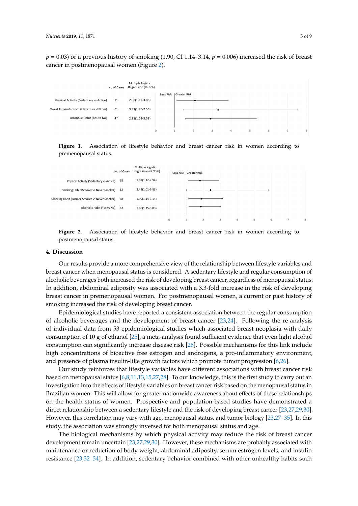$p = 0.03$  or a previous history of smoking (1.90, CI 1.14–3.14,  $p = 0.006$ ) increased the risk of breast cancer in postmenopausal women (Figure [2\)](#page-4-1).  $\frac{1}{2}$ ,  $\frac{1}{2}$ ,  $\frac{1}{2}$ ,  $\frac{1}{2}$ ,  $\frac{1}{2}$ ,  $\frac{1}{2}$ ,  $\frac{1}{2}$ ,  $\frac{1}{2}$ ,  $\frac{1}{2}$ ,  $\frac{1}{2}$ ,  $\frac{1}{2}$ ,  $\frac{1}{2}$ ,  $\frac{1}{2}$ ,  $\frac{1}{2}$ ,  $\frac{1}{2}$ ,  $\frac{1}{2}$ ,  $\frac{1}{2}$ ,  $\frac{1}{2}$ ,  $\frac{1}{2}$ ,  $\frac{1}{2}$ , *Nutrients* **2019**, *11*, x FOR PEER REVIEW 5 of 9

<span id="page-4-0"></span>

Figure 1. Association of lifestyle behavior and breast cancer risk in women according to premenopausal status. premenopausal status. premenopausal status.

<span id="page-4-1"></span>

Figure 2. Association of lifestyle behavior and breast cancer risk in women according to postmenopausal status. postmenopausal status. postmenopausal status.

# **4. Discussion 4. Discussion 4. Discussion**

Our results provide a more comprehensive view of the relationship between lifestyle variables and breast cancer when menopausal status is considered. A sedentary lifestyle and regular consumption of breast cancer when menopausal status is considered. A sedentary lifestyle and regular consumption of<br>alcoholic beverages both increased the risk of developing breast cancer, regardless of menopausal status. In addition, abdominal adiposity was associated with a 3.3-fold increase in the risk of developing In addition, abdominal adiposity was associated with a 3.3-fold increase in the risk of developing<br>breast cancer in premenopausal women. For postmenopausal women, a current or past history of smoking increased the risk of developing breast cancer.

Epidemiological studies have reported a consistent association between the regular consumption of alcoholic beverages and the development of bre[ast](#page-7-5) [can](#page-7-6)cer [23,24]. Following the re-analysis of individual data from 53 epidemiological studies which associated breast neoplasia with daily consumption of 10 g of et[han](#page-7-7)ol [25], a meta-analysis found sufficient evidence that even light alcohol consumption of 10 g of ethanol [25], a meta-analysis found sufficient evidence that even light alcohol<br>consumption can significantly incre[ase](#page-7-8) disease risk [26]. Possible mechanisms for this link include high concentrations of bioactive free estrogen and androgens, a pro-inflammatory environment, and presence of plasma insulin-like growth factors which promote tum[or](#page-6-5) [pro](#page-7-8)gression [6,26].

Our study reinforces that lifestyle variables have different associations with breast cancer risk based on menopausal status [6,8,11,13,15,27,28]. To our knowledge, this is the first study to carry out an investigation into the effects of lifestyle variables on breast cancer risk based on the menopausal status in investigation into the effects of lifestyle variables on breast cancer risk based on the menopausal status in<br>Brazilian women. This will allow for greater nationwide awareness about effects of these relationships on the health status of women. Prospective and population-based studies have demonstrated a on the health status of women. Prospective and population-based stu[dies](#page-7-9) have demonstrated a<br>direct relationship between a sedentary lifestyle and the risk of developing breast cancer [\[23,](#page-7-5)27[,29](#page-7-11)[,30\]](#page-7-12). However, this correlation may vary with age, menopausal status, and tumor biology [23,27–35]. In this study, the association was strongly inversed for both menopausal status and age. study, the association was strongly inversed for both menopausal status and age.

The biological mechanisms by which physical activity may reduce the risk of breast cancer The biological mechanisms by which physical activity may reduce the risk of breast cancer development remain uncertain [\[23,](#page-7-5)[27,](#page-7-9)[29,](#page-7-11)[30\]](#page-7-12). However, these mechanisms are probably associated with tenance or reduction of body weight, abdominal adiposity, serum estrogen levels, and insulin maintenance or reduction of body weight, abdominal adiposity, serum estrogen levels, and insulin<br>resistance [\[23](#page-7-5)[,32](#page-7-14)[–34\]](#page-7-15). In addition, sedentary behavior combined with other unhealthy habits such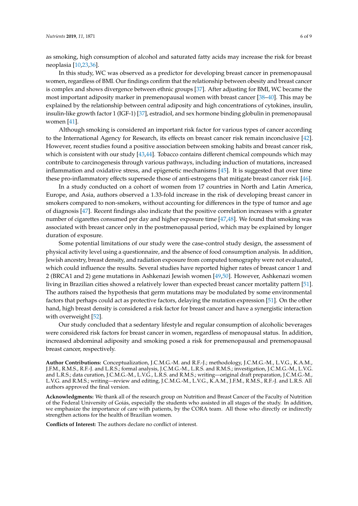as smoking, high consumption of alcohol and saturated fatty acids may increase the risk for breast neoplasia [\[10](#page-6-14)[,23,](#page-7-5)[36\]](#page-7-16).

In this study, WC was observed as a predictor for developing breast cancer in premenopausal women, regardless of BMI. Our findings confirm that the relationship between obesity and breast cancer is complex and shows divergence between ethnic groups [\[37\]](#page-7-17). After adjusting for BMI, WC became the most important adiposity marker in premenopausal women with breast cancer [\[38–](#page-8-0)[40\]](#page-8-1). This may be explained by the relationship between central adiposity and high concentrations of cytokines, insulin, insulin-like growth factor 1 (IGF-1) [\[37\]](#page-7-17), estradiol, and sex hormone binding globulin in premenopausal women [\[41\]](#page-8-2).

Although smoking is considered an important risk factor for various types of cancer according to the International Agency for Research, its effects on breast cancer risk remain inconclusive [\[42\]](#page-8-3). However, recent studies found a positive association between smoking habits and breast cancer risk, which is consistent with our study [\[43](#page-8-4)[,44\]](#page-8-5). Tobacco contains different chemical compounds which may contribute to carcinogenesis through various pathways, including induction of mutations, increased inflammation and oxidative stress, and epigenetic mechanisms [\[45\]](#page-8-6). It is suggested that over time these pro-inflammatory effects supersede those of anti-estrogens that mitigate breast cancer risk [\[46\]](#page-8-7).

In a study conducted on a cohort of women from 17 countries in North and Latin America, Europe, and Asia, authors observed a 1.33-fold increase in the risk of developing breast cancer in smokers compared to non-smokers, without accounting for differences in the type of tumor and age of diagnosis [\[47\]](#page-8-8). Recent findings also indicate that the positive correlation increases with a greater number of cigarettes consumed per day and higher exposure time [\[47](#page-8-8)[,48\]](#page-8-9). We found that smoking was associated with breast cancer only in the postmenopausal period, which may be explained by longer duration of exposure.

Some potential limitations of our study were the case-control study design, the assessment of physical activity level using a questionnaire, and the absence of food consumption analysis. In addition, Jewish ancestry, breast density, and radiation exposure from computed tomography were not evaluated, which could influence the results. Several studies have reported higher rates of breast cancer 1 and 2 (BRCA1 and 2) gene mutations in Ashkenazi Jewish women [\[49](#page-8-10)[,50\]](#page-8-11). However, Ashkenazi women living in Brazilian cities showed a relatively lower than expected breast cancer mortality pattern [\[51\]](#page-8-12). The authors raised the hypothesis that germ mutations may be modulated by some environmental factors that perhaps could act as protective factors, delaying the mutation expression [\[51\]](#page-8-12). On the other hand, high breast density is considered a risk factor for breast cancer and have a synergistic interaction with overweight [\[52\]](#page-8-13).

Our study concluded that a sedentary lifestyle and regular consumption of alcoholic beverages were considered risk factors for breast cancer in women, regardless of menopausal status. In addition, increased abdominal adiposity and smoking posed a risk for premenopausal and premenopausal breast cancer, respectively.

**Author Contributions:** Conceptualization, J.C.M.G.-M. and R.F.-J.; methodology, J.C.M.G.-M., L.V.G., K.A.M., J.F.M., R.M.S., R.F.-J. and L.R.S.; formal analysis, J.C.M.G.-M., L.R.S. and R.M.S.; investigation, J.C.M.G.-M., L.V.G. and L.R.S.; data curation, J.C.M.G.-M., L.V.G., L.R.S. and R.M.S.; writing—original draft preparation, J.C.M.G.-M., L.V.G. and R.M.S.; writing—review and editing, J.C.M.G.-M., L.V.G., K.A.M., J.F.M., R.M.S., R.F.-J. and L.R.S. All authors approved the final version.

**Acknowledgments:** We thank all of the research group on Nutrition and Breast Cancer of the Faculty of Nutrition of the Federal University of Goiás, especially the students who assisted in all stages of the study. In addition, we emphasize the importance of care with patients, by the CORA team. All those who directly or indirectly strengthen actions for the health of Brazilian women.

**Conflicts of Interest:** The authors declare no conflict of interest.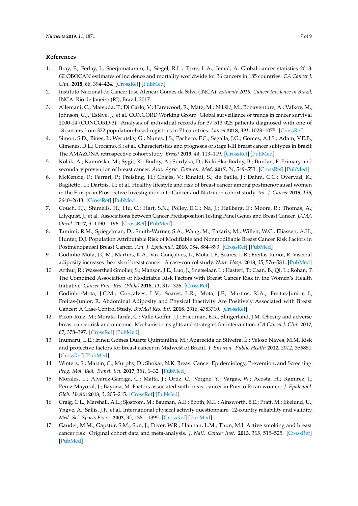# **References**

- <span id="page-6-0"></span>1. Bray, F.; Ferlay, J.; Soerjomataram, I.; Siegel, R.L.; Torre, L.A.; Jemal, A. Global cancer statistics 2018: GLOBOCAN estimates of incidence and mortality worldwide for 36 cancers in 185 countries. *CA Cancer J. Clin.* **2018**, *68*, 394–424. [\[CrossRef\]](http://dx.doi.org/10.3322/caac.21492) [\[PubMed\]](http://www.ncbi.nlm.nih.gov/pubmed/30207593)
- <span id="page-6-1"></span>2. Instituto Nacional de Cancer José Alencar Gomes da Silva (INCA). *Estimate 2018: Cancer Incidence in Brazil*; INCA: Rio de Janeiro (RJ), Brazil, 2017.
- <span id="page-6-2"></span>3. Allemani, C.; Matsuda, T.; Di Carlo, V.; Harewood, R.; Matz, M.; Nikšić, M.; Bonaventure, A.; Valkov, M.; Johnson, C.J.; Estève, J.; et al. CONCORD Working Group. Global surveillance of trends in cancer survival 2000-14 (CONCORD-3): Analysis of individual records for 37 513 025 patients diagnosed with one of 18 cancers from 322 population-based registries in 71 countries. *Lancet* **2018**, *391*, 1023–1075. [\[CrossRef\]](http://dx.doi.org/10.1016/S0140-6736(17)33326-3)
- <span id="page-6-3"></span>4. Simon, S.D.; Bines, J.; Werutsky, G.; Nunes, J.S.; Pacheco, F.C.; Segalla, J.G.; Gomes, A.J.S.; Adam, V.E.B.; Gimenes, D.L.; Crocamo, S.; et al. Characteristics and prognosis of stage I-III breast cancer subtypes in Brazil: The AMAZONA retrospective cohort study. *Breast* **2019**, *44*, 113–119. [\[CrossRef\]](http://dx.doi.org/10.1016/j.breast.2019.01.008) [\[PubMed\]](http://www.ncbi.nlm.nih.gov/pubmed/30738289)
- <span id="page-6-4"></span>5. Kolak, A.; Kamińska, M.; Sygit, K.; Budny, A.; Surdyka, D.; Kukiełka-Budny, B.; Burdan, F. Primary and secondary prevention of breast cancer. *Ann. Agric. Environ. Med.* **2017**, *24*, 549–553. [\[CrossRef\]](http://dx.doi.org/10.26444/aaem/75943) [\[PubMed\]](http://www.ncbi.nlm.nih.gov/pubmed/29284222)
- <span id="page-6-5"></span>6. McKenzie, F.; Ferrari, P.; Freisling, H.; Chajès, V.; Rinaldi, S.; de Batlle, J.; Dahm, C.C.; Overvad, K.; Baglietto, L.; Dartois, L.; et al. Healthy lifestyle and risk of breast cancer among postmenopausal women in the European Prospective Investigation into Cancer and Nutrition cohort study. *Int. J. Cancer* **2015**, *136*, 2640–2648. [\[CrossRef\]](http://dx.doi.org/10.1002/ijc.29315) [\[PubMed\]](http://www.ncbi.nlm.nih.gov/pubmed/25379993)
- <span id="page-6-6"></span>7. Couch, F.J.; Shimelis, H.; Hu, C.; Hart, S.N.; Polley, E.C.; Na, J.; Hallberg, E.; Moore, R.; Thomas, A.; Lilyquist, J.; et al. Associations Between Cancer Predisposition Testing Panel Genes and Breast Cancer. *JAMA Oncol.* **2017**, *3*, 1190–1196. [\[CrossRef\]](http://dx.doi.org/10.1001/jamaoncol.2017.0424) [\[PubMed\]](http://www.ncbi.nlm.nih.gov/pubmed/28418444)
- <span id="page-6-7"></span>8. Tamimi, R.M.; Spiegelman, D.; Smith-Warner, S.A.; Wang, M.; Pazaris, M.; Willett, W.C.; Eliassen, A.H.; Hunter, D.J. Population Attributable Risk of Modifiable and Nonmodifiable Breast Cancer Risk Factors in Postmenopausal Breast Cancer. *Am. J. Epidemiol.* **2016**, *184*, 884–893. [\[CrossRef\]](http://dx.doi.org/10.1093/aje/kww145) [\[PubMed\]](http://www.ncbi.nlm.nih.gov/pubmed/27923781)
- <span id="page-6-8"></span>9. Godinho-Mota, J.C.M.; Martins, K.A.; Vaz-Gonçalves, L.; Mota, J.F.; Soares, L.R.; Freitas-Junior, R. Visceral adiposity increases the risk of breast cancer: A case-control study. *Nutr. Hosp.* **2018**, *35*, 576–581. [\[PubMed\]](http://www.ncbi.nlm.nih.gov/pubmed/29974765)
- <span id="page-6-14"></span>10. Arthur, R.; Wassertheil-Smoller, S.; Manson, J.E.; Luo, J.; Snetselaar, L.; Hastert, T.; Caan, B.; Qi, L.; Rohan, T. The Combined Association of Modifiable Risk Factors with Breast Cancer Risk in the Women's Health Initiative. *Cancer Prev. Res. (Phila)* **2018**, *11*, 317–326. [\[CrossRef\]](http://dx.doi.org/10.1158/1940-6207.CAPR-17-0347)
- <span id="page-6-11"></span>11. Godinho-Mota, J.C.M.; Gonçalves, L.V.; Soares, L.R.; Mota, J.F.; Martins, K.A.; Freitas-Junior, I.; Freitas-Junior, R. Abdominal Adiposity and Physical Inactivity Are Positively Associated with Breast Cancer: A Case-Control Study. *BioMed Res. Int.* **2018**, *2018*, 4783710. [\[CrossRef\]](http://dx.doi.org/10.1155/2018/4783710)
- 12. Picon-Ruiz, M.; Morata-Tarifa, C.; Valle-Goffin, J.J.; Friedman, E.R.; Slingerland, J.M. Obesity and adverse breast cancer risk and outcome: Mechanistic insights and strategies for intervention. *CA Cancer J. Clin.* **2017**, *67*, 378–397. [\[CrossRef\]](http://dx.doi.org/10.3322/caac.21405) [\[PubMed\]](http://www.ncbi.nlm.nih.gov/pubmed/28763097)
- <span id="page-6-12"></span>13. Inumaru, L.E.; Irineu Gomes Duarte Quintanilha, M.; Aparecida da Silveira, É.; Veloso Naves, M.M. Risk and protective factors for breast cancer in Midwest of Brazil. *J. Environ. Public Health* **2012**, *2012*, 356851. [\[CrossRef\]](http://dx.doi.org/10.1155/2012/356851) [\[PubMed\]](http://www.ncbi.nlm.nih.gov/pubmed/22675372)
- 14. Winters, S.; Martin, C.; Murphy, D.; Shokar, N.K. Breast Cancer Epidemiology, Prevention, and Screening. *Prog. Mol. Biol. Transl. Sci.* **2017**, *151*, 1–32. [\[PubMed\]](http://www.ncbi.nlm.nih.gov/pubmed/29096890)
- <span id="page-6-13"></span>15. Morales, L.; Alvarez-Garriga, C.; Matta, J.; Ortiz, C.; Vergne, Y.; Vargas, W.; Acosta, H.; Ramírez, J.; Perez-Mayoral, J.; Bayona, M. Factors associated with breast cancer in Puerto Rican women. *J. Epidemiol. Glob. Health* **2013**, *3*, 205–215. [\[CrossRef\]](http://dx.doi.org/10.1016/j.jegh.2013.08.003) [\[PubMed\]](http://www.ncbi.nlm.nih.gov/pubmed/24206792)
- <span id="page-6-9"></span>16. Craig, C.L.; Marshall, A.L.; Sjöström, M.; Bauman, A.E.; Booth, M.L.; Ainsworth, B.E.; Pratt, M.; Ekelund, U.; Yngve, A.; Sallis, J.F.; et al. International physical activity questionnaire: 12-country reliability and validity. *Med. Sci. Sports Exerc.* **2003**, *35*, 1381–1395. [\[CrossRef\]](http://dx.doi.org/10.1249/01.MSS.0000078924.61453.FB) [\[PubMed\]](http://www.ncbi.nlm.nih.gov/pubmed/12900694)
- <span id="page-6-10"></span>17. Gaudet, M.M.; Gapstur, S.M.; Sun, J.; Diver, W.R.; Hannan, L.M.; Thun, M.J. Active smoking and breast cancer risk: Original cohort data and meta-analysis. *J. Natl. Cancer Inst.* **2013**, *105*, 515–525. [\[CrossRef\]](http://dx.doi.org/10.1093/jnci/djt023) [\[PubMed\]](http://www.ncbi.nlm.nih.gov/pubmed/23449445)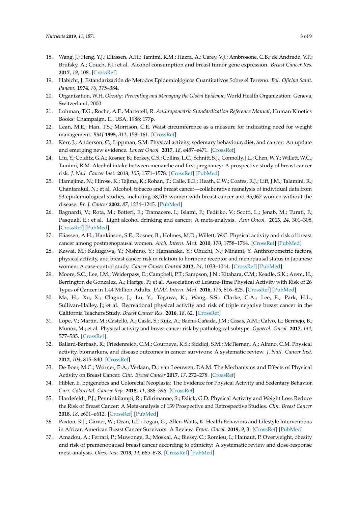- <span id="page-7-0"></span>18. Wang, J.; Heng, Y.J.; Eliassen, A.H.; Tamimi, R.M.; Hazra, A.; Carey, V.J.; Ambrosone, C.B.; de Andrade, V.P.; Brufsky, A.; Couch, F.J.; et al. Alcohol consumption and breast tumor gene expression. *Breast Cancer Res.* **2017**, *19*, 108. [\[CrossRef\]](http://dx.doi.org/10.1186/s13058-017-0901-y)
- <span id="page-7-1"></span>19. Habicht, J. Estandarización de Métodos Epidemiológicos Cuantitativos Sobre el Terreno. *Bol. Oficina Sanit. Panam.* **1974**, *76*, 375–384.
- <span id="page-7-2"></span>20. Organization, W.H. *Obesity: Preventing and Managing the Global Epidemic*; World Health Organization: Geneva, Switzerland, 2000.
- <span id="page-7-3"></span>21. Lohman, T.G.; Roche, A.F.; Martorell, R. *Anthropometric Standardization Reference Manual*; Human Kinetics Books: Champaign, IL, USA, 1988; 177p.
- <span id="page-7-4"></span>22. Lean, M.E.; Han, T.S.; Morrison, C.E. Waist circumference as a measure for indicating need for weight management. *BMJ* **1995**, *311*, 158–161. [\[CrossRef\]](http://dx.doi.org/10.1136/bmj.311.6998.158)
- <span id="page-7-5"></span>23. Kerr, J.; Anderson, C.; Lippman, S.M. Physical activity, sedentary behaviour, diet, and cancer: An update and emerging new evidence. *Lancet Oncol.* **2017**, *18*, e457–e471. [\[CrossRef\]](http://dx.doi.org/10.1016/S1470-2045(17)30411-4)
- <span id="page-7-6"></span>24. Liu, Y.; Colditz, G.A.; Rosner, B.; Berkey, C.S.; Collins, L.C.; Schnitt, S.J.; Connolly, J.L.; Chen, W.Y.; Willett, W.C.; Tamimi, R.M. Alcohol intake between menarche and first pregnancy: A prospective study of breast cancer risk. *J. Natl. Cancer Inst.* **2013**, *105*, 1571–1578. [\[CrossRef\]](http://dx.doi.org/10.1093/jnci/djt213) [\[PubMed\]](http://www.ncbi.nlm.nih.gov/pubmed/23985142)
- <span id="page-7-7"></span>25. Hamajima, N.; Hirose, K.; Tajima, K.; Rohan, T.; Calle, E.E.; Heath, C.W.; Coates, R.J.; Liff, J.M.; Talamini, R.; Chantarakul, N.; et al. Alcohol, tobacco and breast cancer—collaborative reanalysis of individual data from 53 epidemiological studies, including 58,515 women with breast cancer and 95,067 women without the disease. *Br. J. Cancer* **2002**, *87*, 1234–1245. [\[PubMed\]](http://www.ncbi.nlm.nih.gov/pubmed/12439712)
- <span id="page-7-8"></span>26. Bagnardi, V.; Rota, M.; Botteri, E.; Tramacere, I.; Islami, F.; Fedirko, V.; Scotti, L.; Jenab, M.; Turati, F.; Pasquali, E.; et al. Light alcohol drinking and cancer: A meta-analysis. *Ann Oncol.* **2013**, *24*, 301–308. [\[CrossRef\]](http://dx.doi.org/10.1093/annonc/mds337) [\[PubMed\]](http://www.ncbi.nlm.nih.gov/pubmed/22910838)
- <span id="page-7-9"></span>27. Eliassen, A.H.; Hankinson, S.E.; Rosner, B.; Holmes, M.D.; Willett, W.C. Physical activity and risk of breast cancer among postmenopausal women. *Arch. Intern. Med.* **2010**, *170*, 1758–1764. [\[CrossRef\]](http://dx.doi.org/10.1001/archinternmed.2010.363) [\[PubMed\]](http://www.ncbi.nlm.nih.gov/pubmed/20975025)
- <span id="page-7-10"></span>28. Kawai, M.; Kakugawa, Y.; Nishino, Y.; Hamanaka, Y.; Ohuchi, N.; Minami, Y. Anthropometric factors, physical activity, and breast cancer risk in relation to hormone receptor and menopausal status in Japanese women: A case-control study. *Cancer Causes Control* **2013**, *24*, 1033–1044. [\[CrossRef\]](http://dx.doi.org/10.1007/s10552-013-0181-5) [\[PubMed\]](http://www.ncbi.nlm.nih.gov/pubmed/23494727)
- <span id="page-7-11"></span>29. Moore, S.C.; Lee, I.M.; Weiderpass, E.; Campbell, P.T.; Sampson, J.N.; Kitahara, C.M.; Keadle, S.K.; Arem, H.; Berrington de Gonzalez, A.; Hartge, P.; et al. Association of Leisure-Time Physical Activity with Risk of 26 Types of Cancer in 1.44 Million Adults. *JAMA Intern. Med.* **2016**, *176*, 816–825. [\[CrossRef\]](http://dx.doi.org/10.1001/jamainternmed.2016.1548) [\[PubMed\]](http://www.ncbi.nlm.nih.gov/pubmed/27183032)
- <span id="page-7-12"></span>30. Ma, H.; Xu, X.; Clague, J.; Lu, Y.; Togawa, K.; Wang, S.S.; Clarke, C.A.; Lee, E.; Park, H.L.; Sullivan-Halley, J.; et al. Recreational physical activity and risk of triple negative breast cancer in the California Teachers Study. *Breast Cancer Res.* **2016**, *18*, 62. [\[CrossRef\]](http://dx.doi.org/10.1186/s13058-016-0723-3)
- 31. Lope, V.; Martín, M.; Castelló, A.; Casla, S.; Ruiz, A.; Baena-Cañada, J.M.; Casas, A.M.; Calvo, L.; Bermejo, B.; Muñoz, M.; et al. Physical activity and breast cancer risk by pathological subtype. *Gynecol. Oncol.* **2017**, *144*, 577–585. [\[CrossRef\]](http://dx.doi.org/10.1016/j.ygyno.2016.12.014)
- <span id="page-7-14"></span>32. Ballard-Barbash, R.; Friedenreich, C.M.; Courneya, K.S.; Siddiqi, S.M.; McTiernan, A.; Alfano, C.M. Physical activity, biomarkers, and disease outcomes in cancer survivors: A systematic review. *J. Natl. Cancer Inst.* **2012**, *104*, 815–840. [\[CrossRef\]](http://dx.doi.org/10.1093/jnci/djs207)
- 33. De Boer, M.C.; Wörner, E.A.; Verlaan, D.; van Leeuwen, P.A.M. The Mechanisms and Effects of Physical Activity on Breast Cancer. *Clin. Breast Cancer* **2017**, *17*, 272–278. [\[CrossRef\]](http://dx.doi.org/10.1016/j.clbc.2017.01.006)
- <span id="page-7-15"></span>34. Hibler, E. Epigenetics and Colorectal Neoplasia: The Evidence for Physical Activity and Sedentary Behavior. *Curr. Colorectal. Cancer Rep.* **2015**, *11*, 388–396. [\[CrossRef\]](http://dx.doi.org/10.1007/s11888-015-0296-z)
- <span id="page-7-13"></span>35. Hardefeldt, P.J.; Penninkilampi, R.; Edirimanne, S.; Eslick, G.D. Physical Activity and Weight Loss Reduce the Risk of Breast Cancer: A Meta-analysis of 139 Prospective and Retrospective Studies. *Clin. Breast Cancer* **2018**, *18*, e601–e612. [\[CrossRef\]](http://dx.doi.org/10.1016/j.clbc.2017.10.010) [\[PubMed\]](http://www.ncbi.nlm.nih.gov/pubmed/29223719)
- <span id="page-7-16"></span>36. Paxton, R.J.; Garner, W.; Dean, L.T.; Logan, G.; Allen-Watts, K. Health Behaviors and Lifestyle Interventions in African American Breast Cancer Survivors: A Review. *Front. Oncol.* **2019**, *9*, 3. [\[CrossRef\]](http://dx.doi.org/10.3389/fonc.2019.00003) [\[PubMed\]](http://www.ncbi.nlm.nih.gov/pubmed/30723698)
- <span id="page-7-17"></span>37. Amadou, A.; Ferrari, P.; Muwonge, R.; Moskal, A.; Biessy, C.; Romieu, I.; Hainaut, P. Overweight, obesity and risk of premenopausal breast cancer according to ethnicity: A systematic review and dose-response meta-analysis. *Obes. Rev.* **2013**, *14*, 665–678. [\[CrossRef\]](http://dx.doi.org/10.1111/obr.12028) [\[PubMed\]](http://www.ncbi.nlm.nih.gov/pubmed/23615120)